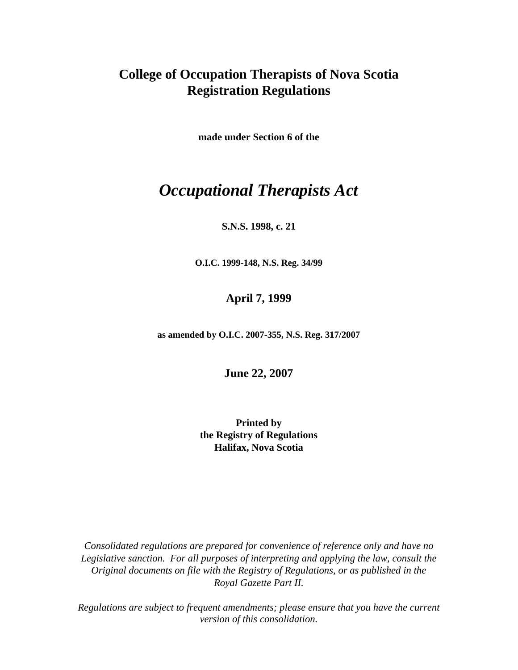## **College of Occupation Therapists of Nova Scotia Registration Regulations**

**made under Section 6 of the** 

# *Occupational Therapists Act*

#### **S.N.S. 1998, c. 21**

**O.I.C. 1999-148, N.S. Reg. 34/99** 

## **April 7, 1999**

**as amended by O.I.C. 2007-355, N.S. Reg. 317/2007** 

**June 22, 2007**

**Printed by the Registry of Regulations Halifax, Nova Scotia** 

*Consolidated regulations are prepared for convenience of reference only and have no Legislative sanction. For all purposes of interpreting and applying the law, consult the Original documents on file with the Registry of Regulations, or as published in the Royal Gazette Part II.* 

*Regulations are subject to frequent amendments; please ensure that you have the current version of this consolidation.*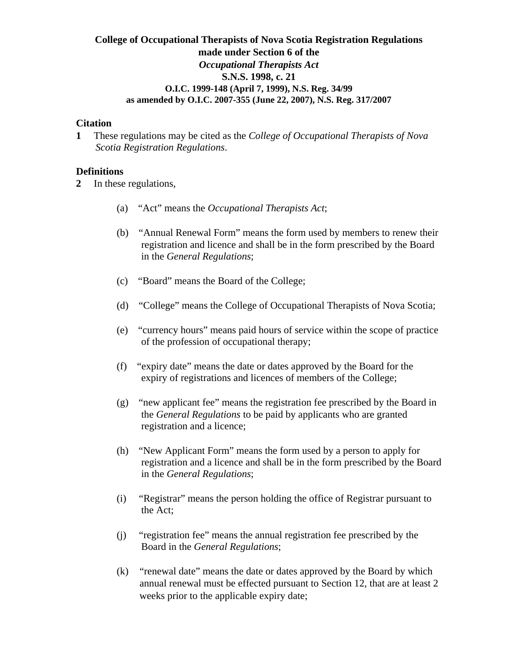## **College of Occupational Therapists of Nova Scotia Registration Regulations made under Section 6 of the** *Occupational Therapists Act* **S.N.S. 1998, c. 21 O.I.C. 1999-148 (April 7, 1999), N.S. Reg. 34/99 as amended by O.I.C. 2007-355 (June 22, 2007), N.S. Reg. 317/2007**

#### **Citation**

**1** These regulations may be cited as the *College of Occupational Therapists of Nova Scotia Registration Regulations*.

#### **Definitions**

**2** In these regulations,

- (a) "Act" means the *Occupational Therapists Act*;
- (b) "Annual Renewal Form" means the form used by members to renew their registration and licence and shall be in the form prescribed by the Board in the *General Regulations*;
- (c) "Board" means the Board of the College;
- (d) "College" means the College of Occupational Therapists of Nova Scotia;
- (e) "currency hours" means paid hours of service within the scope of practice of the profession of occupational therapy;
- (f) "expiry date" means the date or dates approved by the Board for the expiry of registrations and licences of members of the College;
- (g) "new applicant fee" means the registration fee prescribed by the Board in the *General Regulations* to be paid by applicants who are granted registration and a licence;
- (h) "New Applicant Form" means the form used by a person to apply for registration and a licence and shall be in the form prescribed by the Board in the *General Regulations*;
- (i) "Registrar" means the person holding the office of Registrar pursuant to the Act;
- (j) "registration fee" means the annual registration fee prescribed by the Board in the *General Regulations*;
- (k) "renewal date" means the date or dates approved by the Board by which annual renewal must be effected pursuant to Section 12, that are at least 2 weeks prior to the applicable expiry date;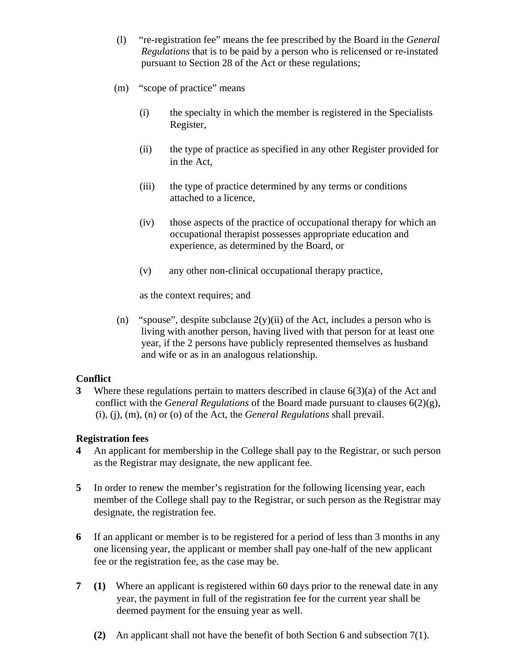- (l) "re-registration fee" means the fee prescribed by the Board in the *General Regulations* that is to be paid by a person who is relicensed or re-instated pursuant to Section 28 of the Act or these regulations;
- (m) "scope of practice" means
	- (i) the specialty in which the member is registered in the Specialists Register,
	- (ii) the type of practice as specified in any other Register provided for in the Act,
	- (iii) the type of practice determined by any terms or conditions attached to a licence,
	- (iv) those aspects of the practice of occupational therapy for which an occupational therapist possesses appropriate education and experience, as determined by the Board, or
	- (v) any other non-clinical occupational therapy practice,

as the context requires; and

(n) "spouse", despite subclause  $2(y)(ii)$  of the Act, includes a person who is living with another person, having lived with that person for at least one year, if the 2 persons have publicly represented themselves as husband and wife or as in an analogous relationship.

#### **Conflict**

**3** Where these regulations pertain to matters described in clause 6(3)(a) of the Act and conflict with the *General Regulations* of the Board made pursuant to clauses 6(2)(g), (i), (j), (m), (n) or (o) of the Act, the *General Regulations* shall prevail.

#### **Registration fees**

- **4** An applicant for membership in the College shall pay to the Registrar, or such person as the Registrar may designate, the new applicant fee.
- **5** In order to renew the member's registration for the following licensing year, each member of the College shall pay to the Registrar, or such person as the Registrar may designate, the registration fee.
- **6** If an applicant or member is to be registered for a period of less than 3 months in any one licensing year, the applicant or member shall pay one-half of the new applicant fee or the registration fee, as the case may be.
- **7 (1)** Where an applicant is registered within 60 days prior to the renewal date in any year, the payment in full of the registration fee for the current year shall be deemed payment for the ensuing year as well.
	- **(2)** An applicant shall not have the benefit of both Section 6 and subsection 7(1).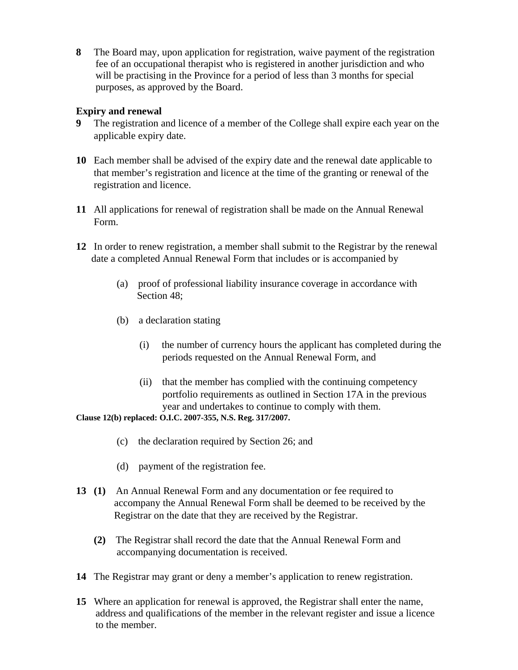**8** The Board may, upon application for registration, waive payment of the registration fee of an occupational therapist who is registered in another jurisdiction and who will be practising in the Province for a period of less than 3 months for special purposes, as approved by the Board.

## **Expiry and renewal**

- **9** The registration and licence of a member of the College shall expire each year on the applicable expiry date.
- **10** Each member shall be advised of the expiry date and the renewal date applicable to that member's registration and licence at the time of the granting or renewal of the registration and licence.
- **11** All applications for renewal of registration shall be made on the Annual Renewal Form.
- **12** In order to renew registration, a member shall submit to the Registrar by the renewal date a completed Annual Renewal Form that includes or is accompanied by
	- (a) proof of professional liability insurance coverage in accordance with Section 48;
	- (b) a declaration stating
		- (i) the number of currency hours the applicant has completed during the periods requested on the Annual Renewal Form, and
		- (ii) that the member has complied with the continuing competency portfolio requirements as outlined in Section 17A in the previous year and undertakes to continue to comply with them.

**Clause 12(b) replaced: O.I.C. 2007-355, N.S. Reg. 317/2007.**

- (c) the declaration required by Section 26; and
- (d) payment of the registration fee.
- **13 (1)** An Annual Renewal Form and any documentation or fee required to accompany the Annual Renewal Form shall be deemed to be received by the Registrar on the date that they are received by the Registrar.
	- **(2)** The Registrar shall record the date that the Annual Renewal Form and accompanying documentation is received.
- **14** The Registrar may grant or deny a member's application to renew registration.
- **15** Where an application for renewal is approved, the Registrar shall enter the name, address and qualifications of the member in the relevant register and issue a licence to the member.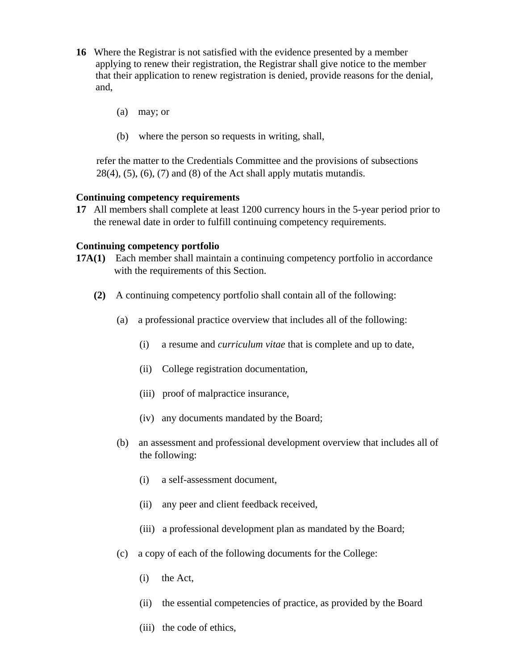- **16** Where the Registrar is not satisfied with the evidence presented by a member applying to renew their registration, the Registrar shall give notice to the member that their application to renew registration is denied, provide reasons for the denial, and,
	- (a) may; or
	- (b) where the person so requests in writing, shall,

 refer the matter to the Credentials Committee and the provisions of subsections  $28(4)$ ,  $(5)$ ,  $(6)$ ,  $(7)$  and  $(8)$  of the Act shall apply mutatis mutandis.

#### **Continuing competency requirements**

**17** All members shall complete at least 1200 currency hours in the 5-year period prior to the renewal date in order to fulfill continuing competency requirements.

#### **Continuing competency portfolio**

- **17A(1)** Each member shall maintain a continuing competency portfolio in accordance with the requirements of this Section.
	- **(2)** A continuing competency portfolio shall contain all of the following:
		- (a) a professional practice overview that includes all of the following:
			- (i) a resume and *curriculum vitae* that is complete and up to date,
			- (ii) College registration documentation,
			- (iii) proof of malpractice insurance,
			- (iv) any documents mandated by the Board;
		- (b) an assessment and professional development overview that includes all of the following:
			- (i) a self-assessment document,
			- (ii) any peer and client feedback received,
			- (iii) a professional development plan as mandated by the Board;
		- (c) a copy of each of the following documents for the College:
			- (i) the Act,
			- (ii) the essential competencies of practice, as provided by the Board
			- (iii) the code of ethics,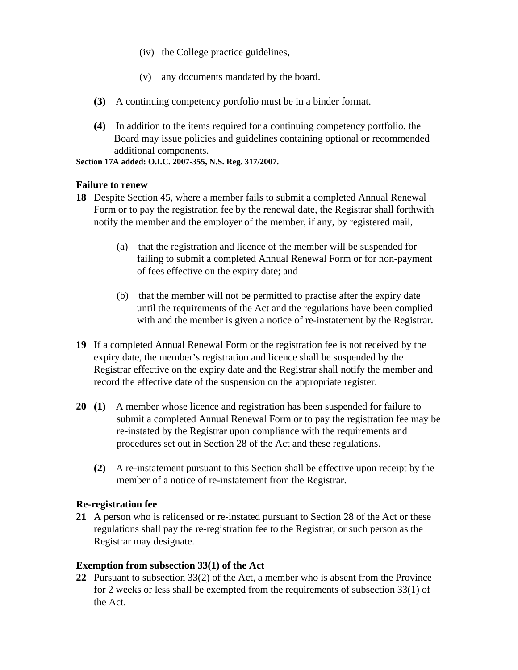- (iv) the College practice guidelines,
- (v) any documents mandated by the board.
- **(3)** A continuing competency portfolio must be in a binder format.
- **(4)** In addition to the items required for a continuing competency portfolio, the Board may issue policies and guidelines containing optional or recommended additional components.

**Section 17A added: O.I.C. 2007-355, N.S. Reg. 317/2007.**

#### **Failure to renew**

- **18** Despite Section 45, where a member fails to submit a completed Annual Renewal Form or to pay the registration fee by the renewal date, the Registrar shall forthwith notify the member and the employer of the member, if any, by registered mail,
	- (a) that the registration and licence of the member will be suspended for failing to submit a completed Annual Renewal Form or for non-payment of fees effective on the expiry date; and
	- (b) that the member will not be permitted to practise after the expiry date until the requirements of the Act and the regulations have been complied with and the member is given a notice of re-instatement by the Registrar.
- **19** If a completed Annual Renewal Form or the registration fee is not received by the expiry date, the member's registration and licence shall be suspended by the Registrar effective on the expiry date and the Registrar shall notify the member and record the effective date of the suspension on the appropriate register.
- **20 (1)** A member whose licence and registration has been suspended for failure to submit a completed Annual Renewal Form or to pay the registration fee may be re-instated by the Registrar upon compliance with the requirements and procedures set out in Section 28 of the Act and these regulations.
	- **(2)** A re-instatement pursuant to this Section shall be effective upon receipt by the member of a notice of re-instatement from the Registrar.

## **Re-registration fee**

**21** A person who is relicensed or re-instated pursuant to Section 28 of the Act or these regulations shall pay the re-registration fee to the Registrar, or such person as the Registrar may designate.

## **Exemption from subsection 33(1) of the Act**

**22** Pursuant to subsection 33(2) of the Act, a member who is absent from the Province for 2 weeks or less shall be exempted from the requirements of subsection 33(1) of the Act.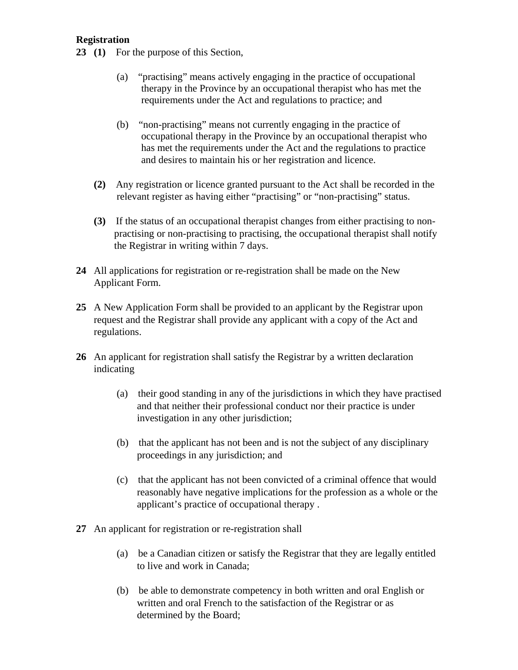## **Registration**

- **23 (1)** For the purpose of this Section,
	- (a) "practising" means actively engaging in the practice of occupational therapy in the Province by an occupational therapist who has met the requirements under the Act and regulations to practice; and
	- (b) "non-practising" means not currently engaging in the practice of occupational therapy in the Province by an occupational therapist who has met the requirements under the Act and the regulations to practice and desires to maintain his or her registration and licence.
	- **(2)** Any registration or licence granted pursuant to the Act shall be recorded in the relevant register as having either "practising" or "non-practising" status.
	- **(3)** If the status of an occupational therapist changes from either practising to non practising or non-practising to practising, the occupational therapist shall notify the Registrar in writing within 7 days.
- **24** All applications for registration or re-registration shall be made on the New Applicant Form.
- **25** A New Application Form shall be provided to an applicant by the Registrar upon request and the Registrar shall provide any applicant with a copy of the Act and regulations.
- **26** An applicant for registration shall satisfy the Registrar by a written declaration indicating
	- (a) their good standing in any of the jurisdictions in which they have practised and that neither their professional conduct nor their practice is under investigation in any other jurisdiction;
	- (b) that the applicant has not been and is not the subject of any disciplinary proceedings in any jurisdiction; and
	- (c) that the applicant has not been convicted of a criminal offence that would reasonably have negative implications for the profession as a whole or the applicant's practice of occupational therapy .
- **27** An applicant for registration or re-registration shall
	- (a) be a Canadian citizen or satisfy the Registrar that they are legally entitled to live and work in Canada;
	- (b) be able to demonstrate competency in both written and oral English or written and oral French to the satisfaction of the Registrar or as determined by the Board;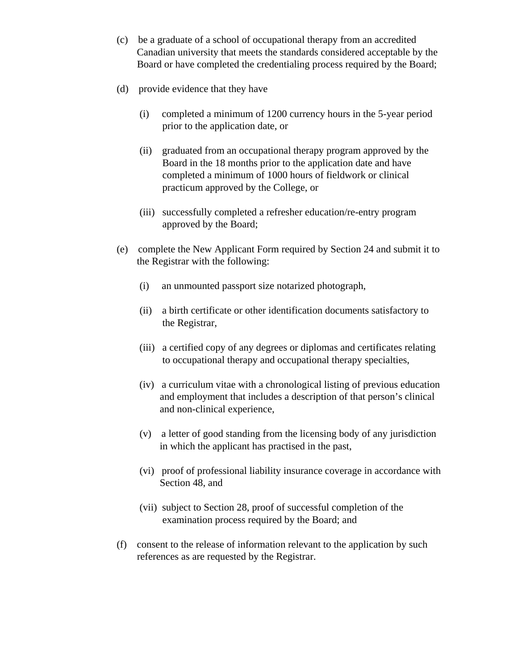- (c) be a graduate of a school of occupational therapy from an accredited Canadian university that meets the standards considered acceptable by the Board or have completed the credentialing process required by the Board;
- (d) provide evidence that they have
	- (i) completed a minimum of 1200 currency hours in the 5-year period prior to the application date, or
	- (ii) graduated from an occupational therapy program approved by the Board in the 18 months prior to the application date and have completed a minimum of 1000 hours of fieldwork or clinical practicum approved by the College, or
	- (iii) successfully completed a refresher education/re-entry program approved by the Board;
- (e) complete the New Applicant Form required by Section 24 and submit it to the Registrar with the following:
	- (i) an unmounted passport size notarized photograph,
	- (ii) a birth certificate or other identification documents satisfactory to the Registrar,
	- (iii) a certified copy of any degrees or diplomas and certificates relating to occupational therapy and occupational therapy specialties,
	- (iv) a curriculum vitae with a chronological listing of previous education and employment that includes a description of that person's clinical and non-clinical experience,
	- (v) a letter of good standing from the licensing body of any jurisdiction in which the applicant has practised in the past,
	- (vi) proof of professional liability insurance coverage in accordance with Section 48, and
	- (vii) subject to Section 28, proof of successful completion of the examination process required by the Board; and
- (f) consent to the release of information relevant to the application by such references as are requested by the Registrar.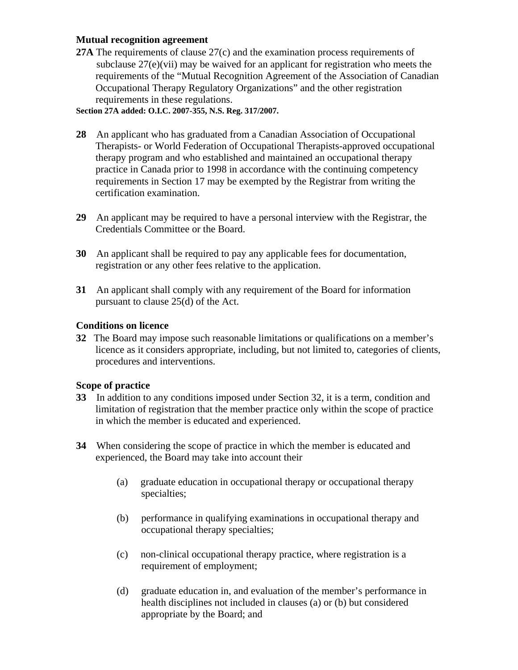## **Mutual recognition agreement**

**27A** The requirements of clause 27(c) and the examination process requirements of subclause 27(e)(vii) may be waived for an applicant for registration who meets the requirements of the "Mutual Recognition Agreement of the Association of Canadian Occupational Therapy Regulatory Organizations" and the other registration requirements in these regulations.

**Section 27A added: O.I.C. 2007-355, N.S. Reg. 317/2007.**

- **28** An applicant who has graduated from a Canadian Association of Occupational Therapists- or World Federation of Occupational Therapists-approved occupational therapy program and who established and maintained an occupational therapy practice in Canada prior to 1998 in accordance with the continuing competency requirements in Section 17 may be exempted by the Registrar from writing the certification examination.
- **29** An applicant may be required to have a personal interview with the Registrar, the Credentials Committee or the Board.
- **30** An applicant shall be required to pay any applicable fees for documentation, registration or any other fees relative to the application.
- **31** An applicant shall comply with any requirement of the Board for information pursuant to clause 25(d) of the Act.

## **Conditions on licence**

**32** The Board may impose such reasonable limitations or qualifications on a member's licence as it considers appropriate, including, but not limited to, categories of clients, procedures and interventions.

## **Scope of practice**

- **33** In addition to any conditions imposed under Section 32, it is a term, condition and limitation of registration that the member practice only within the scope of practice in which the member is educated and experienced.
- **34** When considering the scope of practice in which the member is educated and experienced, the Board may take into account their
	- (a) graduate education in occupational therapy or occupational therapy specialties;
	- (b) performance in qualifying examinations in occupational therapy and occupational therapy specialties;
	- (c) non-clinical occupational therapy practice, where registration is a requirement of employment;
	- (d) graduate education in, and evaluation of the member's performance in health disciplines not included in clauses (a) or (b) but considered appropriate by the Board; and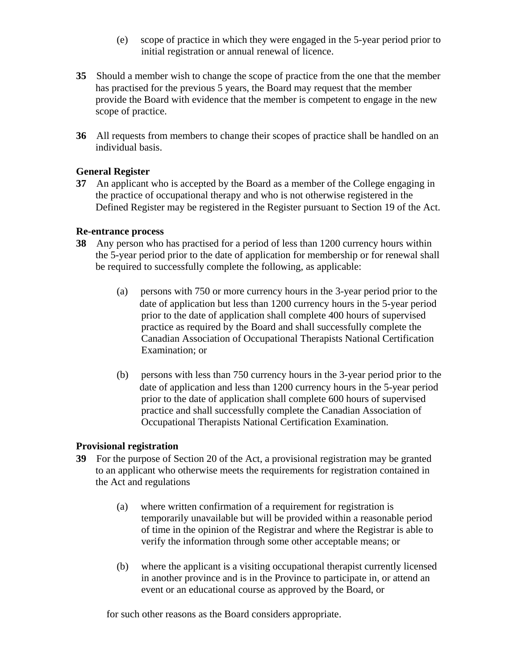- (e) scope of practice in which they were engaged in the 5-year period prior to initial registration or annual renewal of licence.
- **35** Should a member wish to change the scope of practice from the one that the member has practised for the previous 5 years, the Board may request that the member provide the Board with evidence that the member is competent to engage in the new scope of practice.
- **36** All requests from members to change their scopes of practice shall be handled on an individual basis.

## **General Register**

**37** An applicant who is accepted by the Board as a member of the College engaging in the practice of occupational therapy and who is not otherwise registered in the Defined Register may be registered in the Register pursuant to Section 19 of the Act.

#### **Re-entrance process**

- **38** Any person who has practised for a period of less than 1200 currency hours within the 5-year period prior to the date of application for membership or for renewal shall be required to successfully complete the following, as applicable:
	- (a) persons with 750 or more currency hours in the 3-year period prior to the date of application but less than 1200 currency hours in the 5-year period prior to the date of application shall complete 400 hours of supervised practice as required by the Board and shall successfully complete the Canadian Association of Occupational Therapists National Certification Examination; or
	- (b) persons with less than 750 currency hours in the 3-year period prior to the date of application and less than 1200 currency hours in the 5-year period prior to the date of application shall complete 600 hours of supervised practice and shall successfully complete the Canadian Association of Occupational Therapists National Certification Examination.

#### **Provisional registration**

- **39** For the purpose of Section 20 of the Act, a provisional registration may be granted to an applicant who otherwise meets the requirements for registration contained in the Act and regulations
	- (a) where written confirmation of a requirement for registration is temporarily unavailable but will be provided within a reasonable period of time in the opinion of the Registrar and where the Registrar is able to verify the information through some other acceptable means; or
	- (b) where the applicant is a visiting occupational therapist currently licensed in another province and is in the Province to participate in, or attend an event or an educational course as approved by the Board, or

for such other reasons as the Board considers appropriate.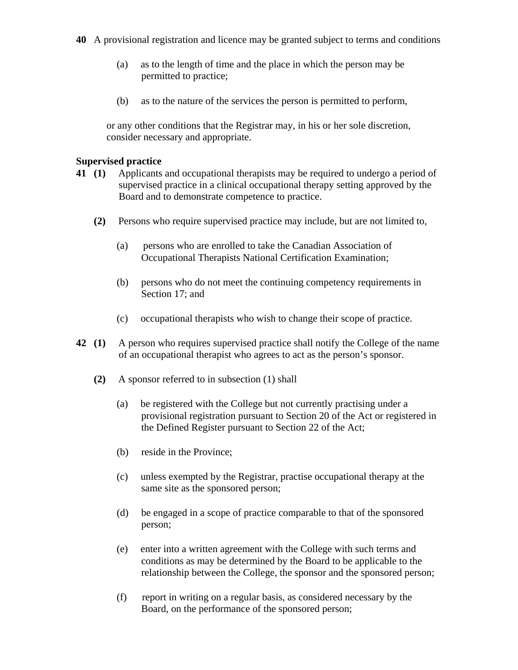- **40** A provisional registration and licence may be granted subject to terms and conditions
	- (a) as to the length of time and the place in which the person may be permitted to practice;
	- (b) as to the nature of the services the person is permitted to perform,

or any other conditions that the Registrar may, in his or her sole discretion, consider necessary and appropriate.

## **Supervised practice**

- **41 (1)** Applicants and occupational therapists may be required to undergo a period of supervised practice in a clinical occupational therapy setting approved by the Board and to demonstrate competence to practice.
	- **(2)** Persons who require supervised practice may include, but are not limited to,
		- (a) persons who are enrolled to take the Canadian Association of Occupational Therapists National Certification Examination;
		- (b) persons who do not meet the continuing competency requirements in Section 17; and
		- (c) occupational therapists who wish to change their scope of practice.
- **42 (1)** A person who requires supervised practice shall notify the College of the name of an occupational therapist who agrees to act as the person's sponsor.
	- **(2)** A sponsor referred to in subsection (1) shall
		- (a) be registered with the College but not currently practising under a provisional registration pursuant to Section 20 of the Act or registered in the Defined Register pursuant to Section 22 of the Act;
		- (b) reside in the Province;
		- (c) unless exempted by the Registrar, practise occupational therapy at the same site as the sponsored person;
		- (d) be engaged in a scope of practice comparable to that of the sponsored person;
		- (e) enter into a written agreement with the College with such terms and conditions as may be determined by the Board to be applicable to the relationship between the College, the sponsor and the sponsored person;
		- (f) report in writing on a regular basis, as considered necessary by the Board, on the performance of the sponsored person;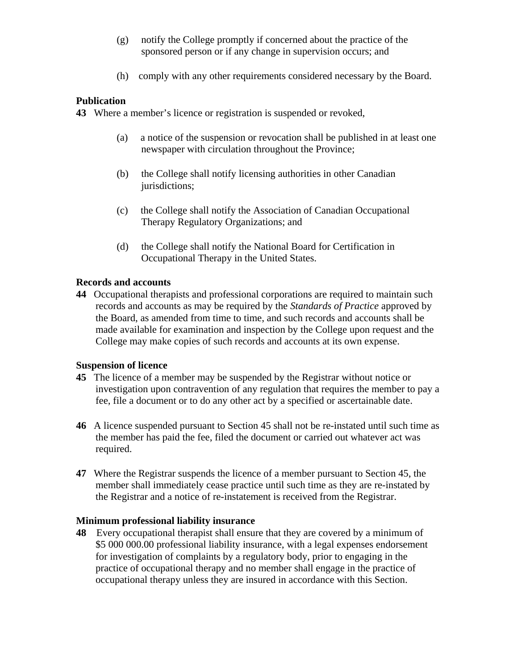- (g) notify the College promptly if concerned about the practice of the sponsored person or if any change in supervision occurs; and
- (h) comply with any other requirements considered necessary by the Board.

## **Publication**

**43** Where a member's licence or registration is suspended or revoked,

- (a) a notice of the suspension or revocation shall be published in at least one newspaper with circulation throughout the Province;
- (b) the College shall notify licensing authorities in other Canadian jurisdictions;
- (c) the College shall notify the Association of Canadian Occupational Therapy Regulatory Organizations; and
- (d) the College shall notify the National Board for Certification in Occupational Therapy in the United States.

## **Records and accounts**

**44** Occupational therapists and professional corporations are required to maintain such records and accounts as may be required by the *Standards of Practice* approved by the Board, as amended from time to time, and such records and accounts shall be made available for examination and inspection by the College upon request and the College may make copies of such records and accounts at its own expense.

#### **Suspension of licence**

- **45** The licence of a member may be suspended by the Registrar without notice or investigation upon contravention of any regulation that requires the member to pay a fee, file a document or to do any other act by a specified or ascertainable date.
- **46** A licence suspended pursuant to Section 45 shall not be re-instated until such time as the member has paid the fee, filed the document or carried out whatever act was required.
- **47** Where the Registrar suspends the licence of a member pursuant to Section 45, the member shall immediately cease practice until such time as they are re-instated by the Registrar and a notice of re-instatement is received from the Registrar.

#### **Minimum professional liability insurance**

**48** Every occupational therapist shall ensure that they are covered by a minimum of \$5 000 000.00 professional liability insurance, with a legal expenses endorsement for investigation of complaints by a regulatory body, prior to engaging in the practice of occupational therapy and no member shall engage in the practice of occupational therapy unless they are insured in accordance with this Section.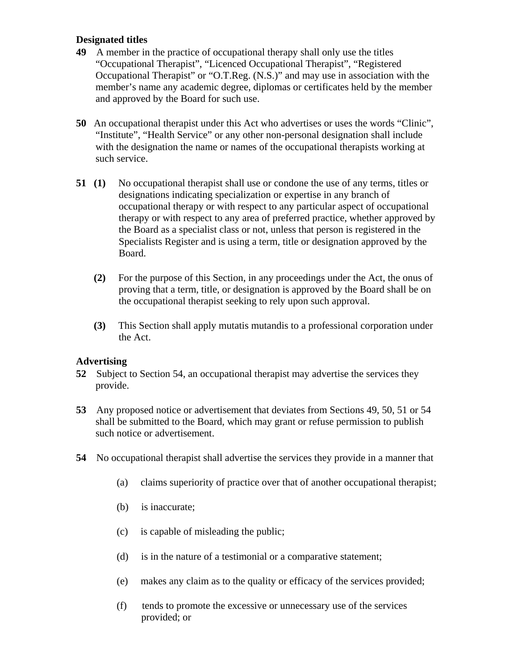## **Designated titles**

- **49** A member in the practice of occupational therapy shall only use the titles "Occupational Therapist", "Licenced Occupational Therapist", "Registered Occupational Therapist" or "O.T.Reg. (N.S.)" and may use in association with the member's name any academic degree, diplomas or certificates held by the member and approved by the Board for such use.
- **50** An occupational therapist under this Act who advertises or uses the words "Clinic", "Institute", "Health Service" or any other non-personal designation shall include with the designation the name or names of the occupational therapists working at such service.
- **51 (1)** No occupational therapist shall use or condone the use of any terms, titles or designations indicating specialization or expertise in any branch of occupational therapy or with respect to any particular aspect of occupational therapy or with respect to any area of preferred practice, whether approved by the Board as a specialist class or not, unless that person is registered in the Specialists Register and is using a term, title or designation approved by the Board.
	- **(2)** For the purpose of this Section, in any proceedings under the Act, the onus of proving that a term, title, or designation is approved by the Board shall be on the occupational therapist seeking to rely upon such approval.
	- **(3)** This Section shall apply mutatis mutandis to a professional corporation under the Act.

## **Advertising**

- **52** Subject to Section 54, an occupational therapist may advertise the services they provide.
- **53** Any proposed notice or advertisement that deviates from Sections 49, 50, 51 or 54 shall be submitted to the Board, which may grant or refuse permission to publish such notice or advertisement.
- **54** No occupational therapist shall advertise the services they provide in a manner that
	- (a) claims superiority of practice over that of another occupational therapist;
	- (b) is inaccurate;
	- (c) is capable of misleading the public;
	- (d) is in the nature of a testimonial or a comparative statement;
	- (e) makes any claim as to the quality or efficacy of the services provided;
	- (f) tends to promote the excessive or unnecessary use of the services provided; or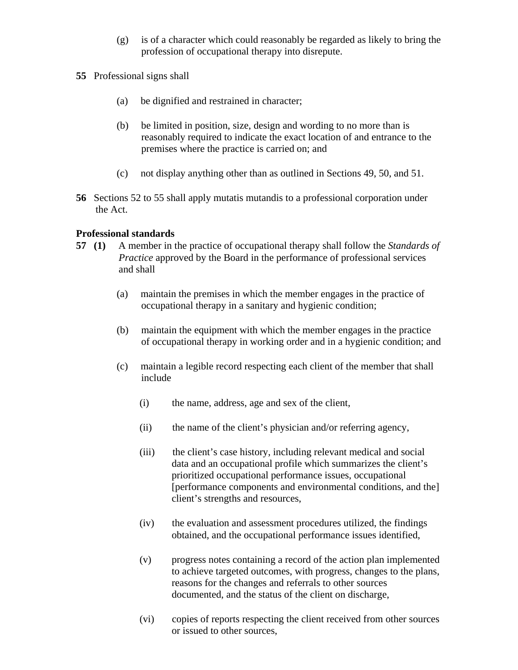- $(g)$  is of a character which could reasonably be regarded as likely to bring the profession of occupational therapy into disrepute.
- **55** Professional signs shall
	- (a) be dignified and restrained in character;
	- (b) be limited in position, size, design and wording to no more than is reasonably required to indicate the exact location of and entrance to the premises where the practice is carried on; and
	- (c) not display anything other than as outlined in Sections 49, 50, and 51.
- **56** Sections 52 to 55 shall apply mutatis mutandis to a professional corporation under the Act.

## **Professional standards**

- **57 (1)** A member in the practice of occupational therapy shall follow the *Standards of Practice* approved by the Board in the performance of professional services and shall
	- (a) maintain the premises in which the member engages in the practice of occupational therapy in a sanitary and hygienic condition;
	- (b) maintain the equipment with which the member engages in the practice of occupational therapy in working order and in a hygienic condition; and
	- (c) maintain a legible record respecting each client of the member that shall include
		- (i) the name, address, age and sex of the client,
		- (ii) the name of the client's physician and/or referring agency,
		- (iii) the client's case history, including relevant medical and social data and an occupational profile which summarizes the client's prioritized occupational performance issues, occupational [performance components and environmental conditions, and the] client's strengths and resources,
		- (iv) the evaluation and assessment procedures utilized, the findings obtained, and the occupational performance issues identified,
		- (v) progress notes containing a record of the action plan implemented to achieve targeted outcomes, with progress, changes to the plans, reasons for the changes and referrals to other sources documented, and the status of the client on discharge,
		- (vi) copies of reports respecting the client received from other sources or issued to other sources,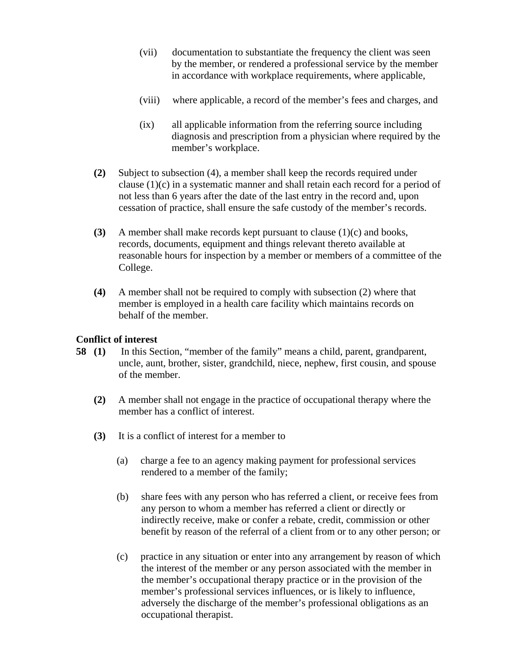- (vii) documentation to substantiate the frequency the client was seen by the member, or rendered a professional service by the member in accordance with workplace requirements, where applicable,
- (viii) where applicable, a record of the member's fees and charges, and
- (ix) all applicable information from the referring source including diagnosis and prescription from a physician where required by the member's workplace.
- **(2)** Subject to subsection (4), a member shall keep the records required under clause  $(1)(c)$  in a systematic manner and shall retain each record for a period of not less than 6 years after the date of the last entry in the record and, upon cessation of practice, shall ensure the safe custody of the member's records.
- **(3)** A member shall make records kept pursuant to clause (1)(c) and books, records, documents, equipment and things relevant thereto available at reasonable hours for inspection by a member or members of a committee of the College.
- **(4)** A member shall not be required to comply with subsection (2) where that member is employed in a health care facility which maintains records on behalf of the member.

## **Conflict of interest**

- **58 (1)** In this Section, "member of the family" means a child, parent, grandparent, uncle, aunt, brother, sister, grandchild, niece, nephew, first cousin, and spouse of the member.
	- **(2)** A member shall not engage in the practice of occupational therapy where the member has a conflict of interest.
	- **(3)** It is a conflict of interest for a member to
		- (a) charge a fee to an agency making payment for professional services rendered to a member of the family;
		- (b) share fees with any person who has referred a client, or receive fees from any person to whom a member has referred a client or directly or indirectly receive, make or confer a rebate, credit, commission or other benefit by reason of the referral of a client from or to any other person; or
		- (c) practice in any situation or enter into any arrangement by reason of which the interest of the member or any person associated with the member in the member's occupational therapy practice or in the provision of the member's professional services influences, or is likely to influence, adversely the discharge of the member's professional obligations as an occupational therapist.